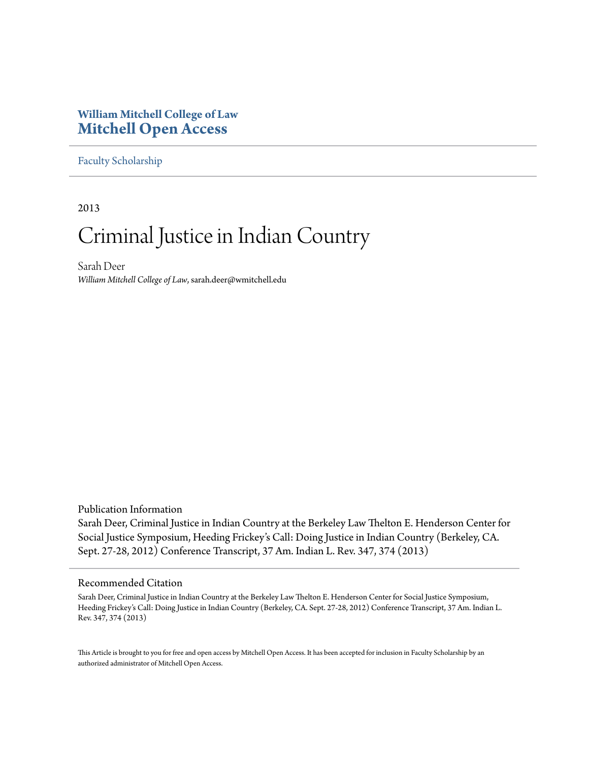## **William Mitchell College of Law [Mitchell Open Access](http://open.wmitchell.edu)**

#### [Faculty Scholarship](http://open.wmitchell.edu/facsch)

2013

# Criminal Justice in Indian Country

Sarah Deer *William Mitchell College of Law*, sarah.deer@wmitchell.edu

Publication Information Sarah Deer, Criminal Justice in Indian Country at the Berkeley Law Thelton E. Henderson Center for Social Justice Symposium, Heeding Frickey's Call: Doing Justice in Indian Country (Berkeley, CA. Sept. 27-28, 2012) Conference Transcript, 37 Am. Indian L. Rev. 347, 374 (2013)

#### Recommended Citation

Sarah Deer, Criminal Justice in Indian Country at the Berkeley Law Thelton E. Henderson Center for Social Justice Symposium, Heeding Frickey's Call: Doing Justice in Indian Country (Berkeley, CA. Sept. 27-28, 2012) Conference Transcript, 37 Am. Indian L. Rev. 347, 374 (2013)

This Article is brought to you for free and open access by Mitchell Open Access. It has been accepted for inclusion in Faculty Scholarship by an authorized administrator of Mitchell Open Access.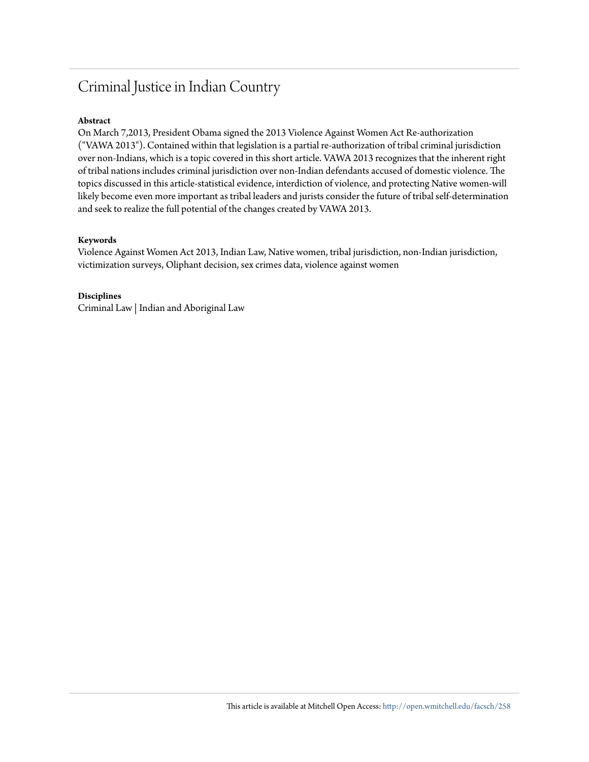# Criminal Justice in Indian Country

#### **Abstract**

On March 7,2013, President Obama signed the 2013 Violence Against Women Act Re-authorization ("VAWA 2013"). Contained within that legislation is a partial re-authorization of tribal criminal jurisdiction over non-Indians, which is a topic covered in this short article. VAWA 2013 recognizes that the inherent right of tribal nations includes criminal jurisdiction over non-Indian defendants accused of domestic violence. The topics discussed in this article-statistical evidence, interdiction of violence, and protecting Native women-will likely become even more important as tribal leaders and jurists consider the future of tribal self-determination and seek to realize the full potential of the changes created by VAWA 2013.

#### **Keywords**

Violence Against Women Act 2013, Indian Law, Native women, tribal jurisdiction, non-Indian jurisdiction, victimization surveys, Oliphant decision, sex crimes data, violence against women

#### **Disciplines**

Criminal Law | Indian and Aboriginal Law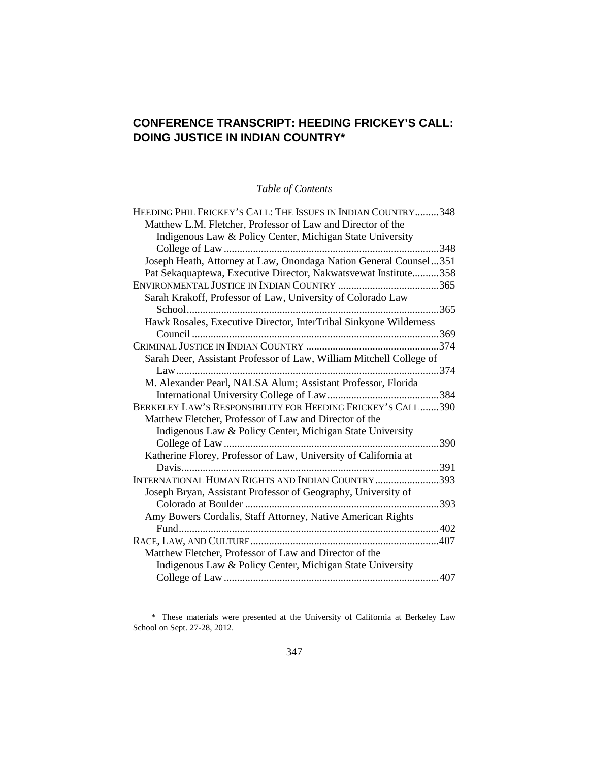### **CONFERENCE TRANSCRIPT: HEEDING FRICKEY'S CALL: DOING JUSTICE IN INDIAN COUNTRY\***

#### *Table of Contents*

| HEEDING PHIL FRICKEY'S CALL: THE ISSUES IN INDIAN COUNTRY348        |      |
|---------------------------------------------------------------------|------|
| Matthew L.M. Fletcher, Professor of Law and Director of the         |      |
| Indigenous Law & Policy Center, Michigan State University           |      |
|                                                                     |      |
| Joseph Heath, Attorney at Law, Onondaga Nation General Counsel351   |      |
| Pat Sekaquaptewa, Executive Director, Nakwatsvewat Institute358     |      |
|                                                                     |      |
| Sarah Krakoff, Professor of Law, University of Colorado Law         |      |
|                                                                     |      |
| Hawk Rosales, Executive Director, InterTribal Sinkyone Wilderness   |      |
|                                                                     |      |
|                                                                     |      |
| Sarah Deer, Assistant Professor of Law, William Mitchell College of |      |
|                                                                     |      |
| M. Alexander Pearl, NALSA Alum; Assistant Professor, Florida        |      |
|                                                                     |      |
| BERKELEY LAW'S RESPONSIBILITY FOR HEEDING FRICKEY'S CALL390         |      |
| Matthew Fletcher, Professor of Law and Director of the              |      |
| Indigenous Law & Policy Center, Michigan State University           |      |
|                                                                     | 390  |
| Katherine Florey, Professor of Law, University of California at     |      |
|                                                                     |      |
| INTERNATIONAL HUMAN RIGHTS AND INDIAN COUNTRY393                    |      |
| Joseph Bryan, Assistant Professor of Geography, University of       |      |
| Colorado at Boulder                                                 | .393 |
| Amy Bowers Cordalis, Staff Attorney, Native American Rights         |      |
|                                                                     |      |
|                                                                     | 407  |
| Matthew Fletcher, Professor of Law and Director of the              |      |
| Indigenous Law & Policy Center, Michigan State University           |      |
|                                                                     |      |
|                                                                     |      |

 <sup>\*</sup> These materials were presented at the University of California at Berkeley Law School on Sept. 27-28, 2012.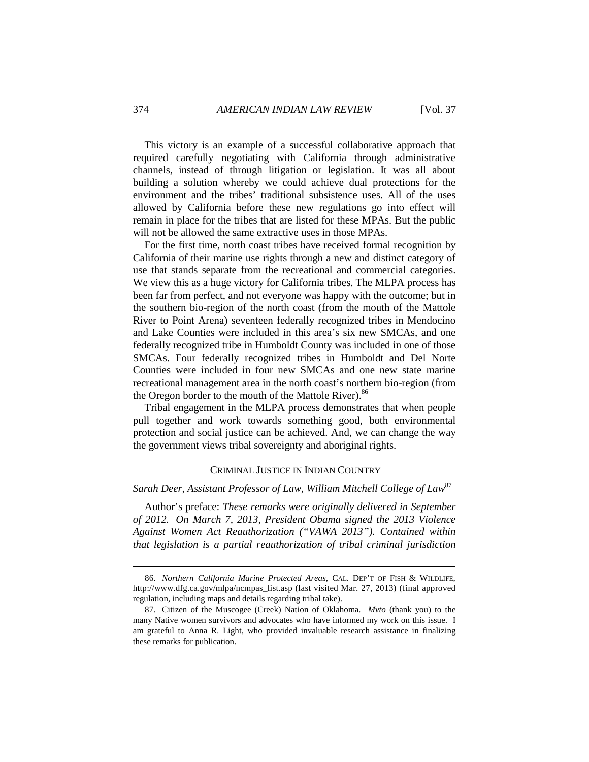This victory is an example of a successful collaborative approach that required carefully negotiating with California through administrative channels, instead of through litigation or legislation. It was all about building a solution whereby we could achieve dual protections for the environment and the tribes' traditional subsistence uses. All of the uses allowed by California before these new regulations go into effect will remain in place for the tribes that are listed for these MPAs. But the public will not be allowed the same extractive uses in those MPAs.

For the first time, north coast tribes have received formal recognition by California of their marine use rights through a new and distinct category of use that stands separate from the recreational and commercial categories. We view this as a huge victory for California tribes. The MLPA process has been far from perfect, and not everyone was happy with the outcome; but in the southern bio-region of the north coast (from the mouth of the Mattole River to Point Arena) seventeen federally recognized tribes in Mendocino and Lake Counties were included in this area's six new SMCAs, and one federally recognized tribe in Humboldt County was included in one of those SMCAs. Four federally recognized tribes in Humboldt and Del Norte Counties were included in four new SMCAs and one new state marine recreational management area in the north coast's northern bio-region (from the Oregon border to the mouth of the Mattole River).<sup>86</sup>

Tribal engagement in the MLPA process demonstrates that when people pull together and work towards something good, both environmental protection and social justice can be achieved. And, we can change the way the government views tribal sovereignty and aboriginal rights.

#### CRIMINAL JUSTICE IN INDIAN COUNTRY

#### *Sarah Deer, Assistant Professor of Law, William Mitchell College of Law*<sup>87</sup>

Author's preface: *These remarks were originally delivered in September of 2012. On March 7, 2013, President Obama signed the 2013 Violence Against Women Act Reauthorization ("VAWA 2013"). Contained within that legislation is a partial reauthorization of tribal criminal jurisdiction* 

 <sup>86.</sup> *Northern California Marine Protected Areas*, CAL. DEP'T OF FISH & WILDLIFE, http://www.dfg.ca.gov/mlpa/ncmpas\_list.asp (last visited Mar. 27, 2013) (final approved regulation, including maps and details regarding tribal take).

 <sup>87.</sup> Citizen of the Muscogee (Creek) Nation of Oklahoma. *Mvto* (thank you) to the many Native women survivors and advocates who have informed my work on this issue. I am grateful to Anna R. Light, who provided invaluable research assistance in finalizing these remarks for publication.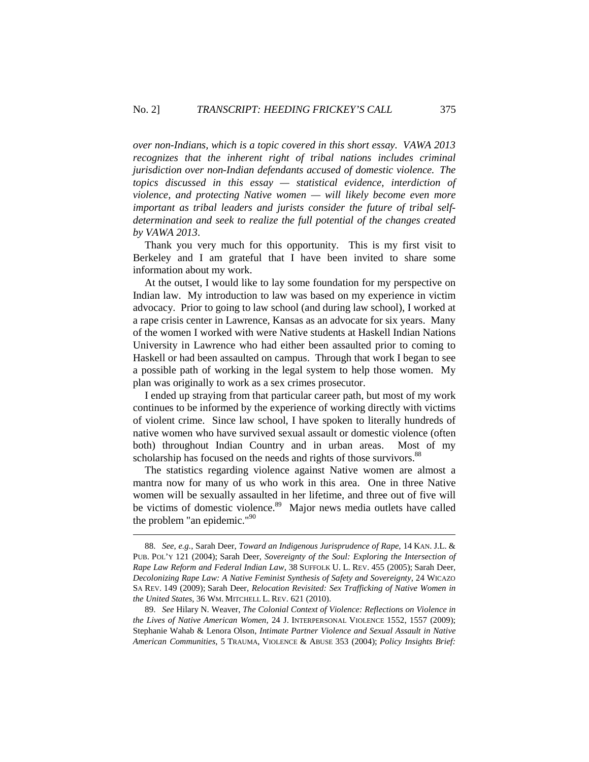*over non-Indians, which is a topic covered in this short essay. VAWA 2013 recognizes that the inherent right of tribal nations includes criminal jurisdiction over non-Indian defendants accused of domestic violence. The topics discussed in this essay — statistical evidence, interdiction of violence, and protecting Native women — will likely become even more important as tribal leaders and jurists consider the future of tribal selfdetermination and seek to realize the full potential of the changes created by VAWA 2013*.

Thank you very much for this opportunity. This is my first visit to Berkeley and I am grateful that I have been invited to share some information about my work.

At the outset, I would like to lay some foundation for my perspective on Indian law. My introduction to law was based on my experience in victim advocacy. Prior to going to law school (and during law school), I worked at a rape crisis center in Lawrence, Kansas as an advocate for six years. Many of the women I worked with were Native students at Haskell Indian Nations University in Lawrence who had either been assaulted prior to coming to Haskell or had been assaulted on campus. Through that work I began to see a possible path of working in the legal system to help those women. My plan was originally to work as a sex crimes prosecutor.

I ended up straying from that particular career path, but most of my work continues to be informed by the experience of working directly with victims of violent crime. Since law school, I have spoken to literally hundreds of native women who have survived sexual assault or domestic violence (often both) throughout Indian Country and in urban areas. Most of my scholarship has focused on the needs and rights of those survivors.<sup>88</sup>

The statistics regarding violence against Native women are almost a mantra now for many of us who work in this area. One in three Native women will be sexually assaulted in her lifetime, and three out of five will be victims of domestic violence.<sup>89</sup> Major news media outlets have called the problem "an epidemic."90

 <sup>88.</sup> *See, e.g.*, Sarah Deer, *Toward an Indigenous Jurisprudence of Rape*, 14 KAN. J.L. & PUB. POL'Y 121 (2004); Sarah Deer, *Sovereignty of the Soul: Exploring the Intersection of Rape Law Reform and Federal Indian Law*, 38 SUFFOLK U. L. REV. 455 (2005); Sarah Deer, *Decolonizing Rape Law: A Native Feminist Synthesis of Safety and Sovereignty*, 24 WICAZO SA REV. 149 (2009); Sarah Deer, *Relocation Revisited: Sex Trafficking of Native Women in the United States*, 36 WM. MITCHELL L. REV. 621 (2010).

 <sup>89.</sup> *See* Hilary N. Weaver, *The Colonial Context of Violence: Reflections on Violence in the Lives of Native American Women*, 24 J. INTERPERSONAL VIOLENCE 1552, 1557 (2009); Stephanie Wahab & Lenora Olson, *Intimate Partner Violence and Sexual Assault in Native American Communities*, 5 TRAUMA, VIOLENCE & ABUSE 353 (2004); *Policy Insights Brief:*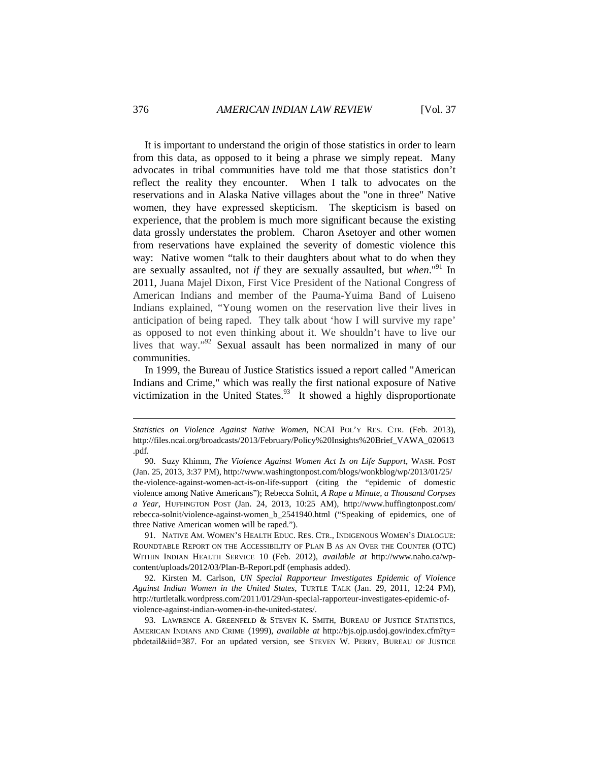It is important to understand the origin of those statistics in order to learn from this data, as opposed to it being a phrase we simply repeat. Many advocates in tribal communities have told me that those statistics don't reflect the reality they encounter. When I talk to advocates on the reservations and in Alaska Native villages about the "one in three" Native women, they have expressed skepticism. The skepticism is based on experience, that the problem is much more significant because the existing data grossly understates the problem. Charon Asetoyer and other women from reservations have explained the severity of domestic violence this way: Native women "talk to their daughters about what to do when they are sexually assaulted, not *if* they are sexually assaulted, but *when*."91 In 2011, Juana Majel Dixon, First Vice President of the National Congress of American Indians and member of the Pauma-Yuima Band of Luiseno Indians explained, "Young women on the reservation live their lives in anticipation of being raped. They talk about 'how I will survive my rape' as opposed to not even thinking about it. We shouldn't have to live our lives that way."92 Sexual assault has been normalized in many of our communities.

In 1999, the Bureau of Justice Statistics issued a report called "American Indians and Crime," which was really the first national exposure of Native victimization in the United States. $93$  It showed a highly disproportionate

 91. NATIVE AM. WOMEN'S HEALTH EDUC. RES. CTR., INDIGENOUS WOMEN'S DIALOGUE: ROUNDTABLE REPORT ON THE ACCESSIBILITY OF PLAN B AS AN OVER THE COUNTER (OTC) WITHIN INDIAN HEALTH SERVICE 10 (Feb. 2012), *available at* http://www.naho.ca/wpcontent/uploads/2012/03/Plan-B-Report.pdf (emphasis added).

 92. Kirsten M. Carlson, *UN Special Rapporteur Investigates Epidemic of Violence Against Indian Women in the United States*, TURTLE TALK (Jan. 29, 2011, 12:24 PM), http://turtletalk.wordpress.com/2011/01/29/un-special-rapporteur-investigates-epidemic-ofviolence-against-indian-women-in-the-united-states/.

93. LAWRENCE A. GREENFELD & STEVEN K. SMITH, BUREAU OF JUSTICE STATISTICS, AMERICAN INDIANS AND CRIME (1999), *available at* http://bjs.ojp.usdoj.gov/index.cfm?ty= pbdetail&iid=387. For an updated version, see STEVEN W. PERRY, BUREAU OF JUSTICE

*Statistics on Violence Against Native Women*, NCAI POL'Y RES. CTR. (Feb. 2013), http://files.ncai.org/broadcasts/2013/February/Policy%20Insights%20Brief\_VAWA\_020613 .pdf.

 <sup>90.</sup> Suzy Khimm, *The Violence Against Women Act Is on Life Support*, WASH. POST (Jan. 25, 2013, 3:37 PM), http://www.washingtonpost.com/blogs/wonkblog/wp/2013/01/25/ the-violence-against-women-act-is-on-life-support (citing the "epidemic of domestic violence among Native Americans"); Rebecca Solnit, *A Rape a Minute, a Thousand Corpses a Year*, HUFFINGTON POST (Jan. 24, 2013, 10:25 AM), http://www.huffingtonpost.com/ rebecca-solnit/violence-against-women\_b\_2541940.html ("Speaking of epidemics, one of three Native American women will be raped.").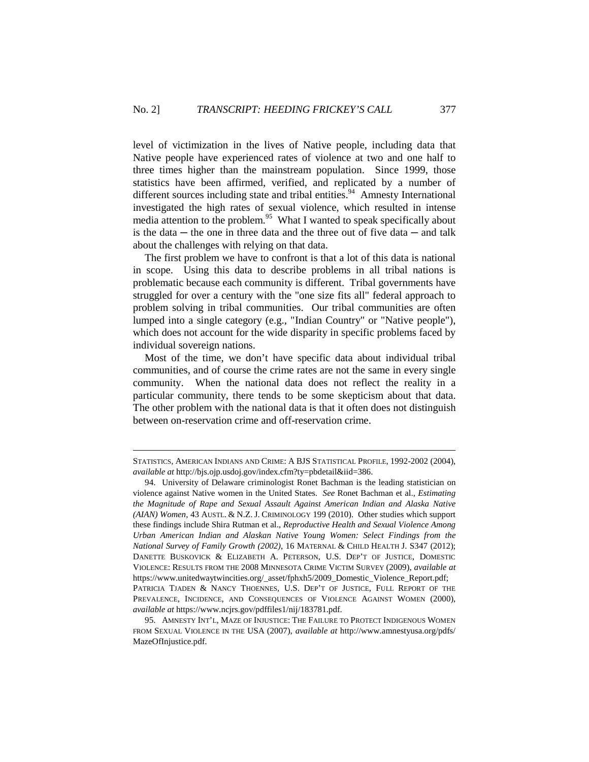level of victimization in the lives of Native people, including data that Native people have experienced rates of violence at two and one half to three times higher than the mainstream population. Since 1999, those statistics have been affirmed, verified, and replicated by a number of different sources including state and tribal entities.<sup>94</sup> Amnesty International investigated the high rates of sexual violence, which resulted in intense media attention to the problem.<sup>95</sup> What I wanted to speak specifically about is the data — the one in three data and the three out of five data — and talk about the challenges with relying on that data.

The first problem we have to confront is that a lot of this data is national in scope. Using this data to describe problems in all tribal nations is problematic because each community is different. Tribal governments have struggled for over a century with the "one size fits all" federal approach to problem solving in tribal communities. Our tribal communities are often lumped into a single category (e.g., "Indian Country" or "Native people"), which does not account for the wide disparity in specific problems faced by individual sovereign nations.

Most of the time, we don't have specific data about individual tribal communities, and of course the crime rates are not the same in every single community. When the national data does not reflect the reality in a particular community, there tends to be some skepticism about that data. The other problem with the national data is that it often does not distinguish between on-reservation crime and off-reservation crime.

STATISTICS, AMERICAN INDIANS AND CRIME: A BJS STATISTICAL PROFILE, 1992-2002 (2004), *available at* http://bjs.ojp.usdoj.gov/index.cfm?ty=pbdetail&iid=386.

 <sup>94.</sup> University of Delaware criminologist Ronet Bachman is the leading statistician on violence against Native women in the United States. *See* Ronet Bachman et al., *Estimating the Magnitude of Rape and Sexual Assault Against American Indian and Alaska Native (AIAN) Women*, 43 AUSTL. & N.Z. J. CRIMINOLOGY 199 (2010). Other studies which support these findings include Shira Rutman et al., *Reproductive Health and Sexual Violence Among Urban American Indian and Alaskan Native Young Women: Select Findings from the National Survey of Family Growth (2002)*, 16 MATERNAL & CHILD HEALTH J. S347 (2012); DANETTE BUSKOVICK & ELIZABETH A. PETERSON, U.S. DEP'T OF JUSTICE, DOMESTIC VIOLENCE: RESULTS FROM THE 2008 MINNESOTA CRIME VICTIM SURVEY (2009), *available at* https://www.unitedwaytwincities.org/\_asset/fphxh5/2009\_Domestic\_Violence\_Report.pdf; PATRICIA TJADEN & NANCY THOENNES, U.S. DEP'T OF JUSTICE, FULL REPORT OF THE PREVALENCE, INCIDENCE, AND CONSEQUENCES OF VIOLENCE AGAINST WOMEN (2000), *available at* https://www.ncjrs.gov/pdffiles1/nij/183781.pdf.

 <sup>95.</sup> AMNESTY INT'L, MAZE OF INJUSTICE: THE FAILURE TO PROTECT INDIGENOUS WOMEN FROM SEXUAL VIOLENCE IN THE USA (2007), *available at* http://www.amnestyusa.org/pdfs/ MazeOfInjustice.pdf.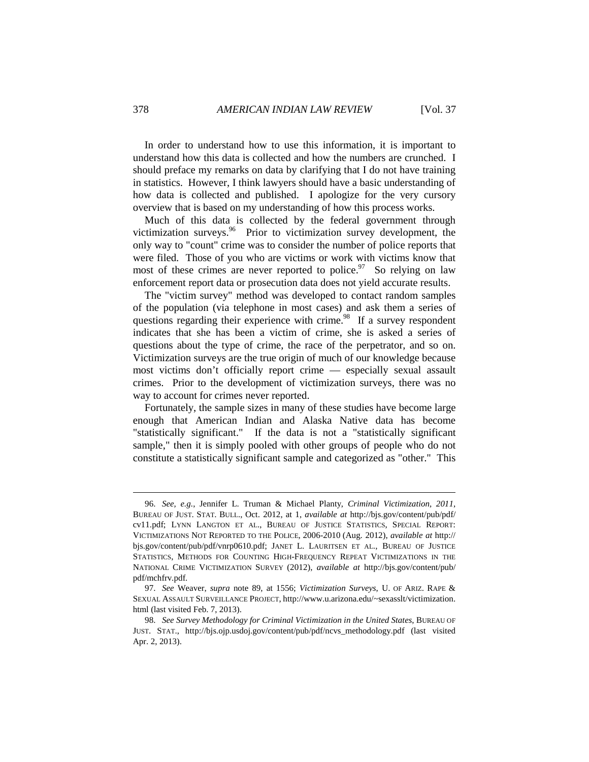In order to understand how to use this information, it is important to understand how this data is collected and how the numbers are crunched. I should preface my remarks on data by clarifying that I do not have training in statistics. However, I think lawyers should have a basic understanding of how data is collected and published. I apologize for the very cursory overview that is based on my understanding of how this process works.

Much of this data is collected by the federal government through victimization surveys. $96$  Prior to victimization survey development, the only way to "count" crime was to consider the number of police reports that were filed. Those of you who are victims or work with victims know that most of these crimes are never reported to police.<sup>97</sup> So relying on law enforcement report data or prosecution data does not yield accurate results.

The "victim survey" method was developed to contact random samples of the population (via telephone in most cases) and ask them a series of questions regarding their experience with crime.<sup>98</sup> If a survey respondent indicates that she has been a victim of crime, she is asked a series of questions about the type of crime, the race of the perpetrator, and so on. Victimization surveys are the true origin of much of our knowledge because most victims don't officially report crime — especially sexual assault crimes. Prior to the development of victimization surveys, there was no way to account for crimes never reported.

Fortunately, the sample sizes in many of these studies have become large enough that American Indian and Alaska Native data has become "statistically significant." If the data is not a "statistically significant sample," then it is simply pooled with other groups of people who do not constitute a statistically significant sample and categorized as "other." This

 <sup>96.</sup> *See, e.g.*, Jennifer L. Truman & Michael Planty, *Criminal Victimization, 2011*, BUREAU OF JUST. STAT. BULL., Oct. 2012, at 1, *available at* http://bjs.gov/content/pub/pdf/ cv11.pdf; LYNN LANGTON ET AL., BUREAU OF JUSTICE STATISTICS, SPECIAL REPORT: VICTIMIZATIONS NOT REPORTED TO THE POLICE, 2006-2010 (Aug. 2012), *available at* http:// bjs.gov/content/pub/pdf/vnrp0610.pdf; JANET L. LAURITSEN ET AL., BUREAU OF JUSTICE STATISTICS, METHODS FOR COUNTING HIGH-FREQUENCY REPEAT VICTIMIZATIONS IN THE NATIONAL CRIME VICTIMIZATION SURVEY (2012), *available at* http://bjs.gov/content/pub/ pdf/mchfrv.pdf.

 <sup>97.</sup> *See* Weaver, *supra* note 89, at 1556; *Victimization Surveys*, U. OF ARIZ. RAPE & SEXUAL ASSAULT SURVEILLANCE PROJECT, http://www.u.arizona.edu/~sexasslt/victimization. html (last visited Feb. 7, 2013).

 <sup>98.</sup> *See Survey Methodology for Criminal Victimization in the United States*, BUREAU OF JUST. STAT., http://bjs.ojp.usdoj.gov/content/pub/pdf/ncvs\_methodology.pdf (last visited Apr. 2, 2013).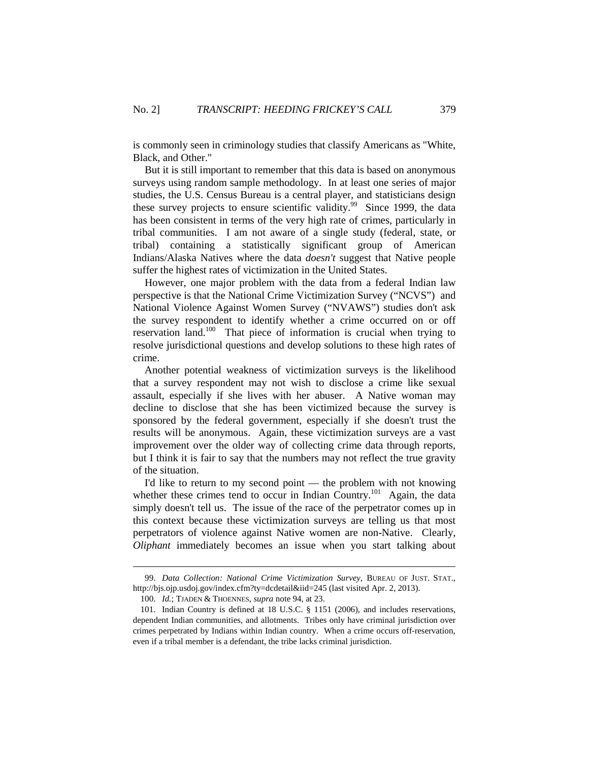is commonly seen in criminology studies that classify Americans as "White, Black, and Other."

But it is still important to remember that this data is based on anonymous surveys using random sample methodology. In at least one series of major studies, the U.S. Census Bureau is a central player, and statisticians design these survey projects to ensure scientific validity.<sup>99</sup> Since 1999, the data has been consistent in terms of the very high rate of crimes, particularly in tribal communities. I am not aware of a single study (federal, state, or tribal) containing a statistically significant group of American Indians/Alaska Natives where the data *doesn't* suggest that Native people suffer the highest rates of victimization in the United States.

However, one major problem with the data from a federal Indian law perspective is that the National Crime Victimization Survey ("NCVS") and National Violence Against Women Survey ("NVAWS") studies don't ask the survey respondent to identify whether a crime occurred on or off reservation land.100 That piece of information is crucial when trying to resolve jurisdictional questions and develop solutions to these high rates of crime.

Another potential weakness of victimization surveys is the likelihood that a survey respondent may not wish to disclose a crime like sexual assault, especially if she lives with her abuser. A Native woman may decline to disclose that she has been victimized because the survey is sponsored by the federal government, especially if she doesn't trust the results will be anonymous. Again, these victimization surveys are a vast improvement over the older way of collecting crime data through reports, but I think it is fair to say that the numbers may not reflect the true gravity of the situation.

I'd like to return to my second point — the problem with not knowing whether these crimes tend to occur in Indian Country.<sup>101</sup> Again, the data simply doesn't tell us. The issue of the race of the perpetrator comes up in this context because these victimization surveys are telling us that most perpetrators of violence against Native women are non-Native. Clearly, *Oliphant* immediately becomes an issue when you start talking about

 <sup>99.</sup> *Data Collection: National Crime Victimization Survey*, BUREAU OF JUST. STAT., http://bjs.ojp.usdoj.gov/index.cfm?ty=dcdetail&iid=245 (last visited Apr. 2, 2013).

 <sup>100.</sup> *Id.*; TJADEN & THOENNES, *supra* note 94, at 23.

 <sup>101.</sup> Indian Country is defined at 18 U.S.C. § 1151 (2006), and includes reservations, dependent Indian communities, and allotments. Tribes only have criminal jurisdiction over crimes perpetrated by Indians within Indian country. When a crime occurs off-reservation, even if a tribal member is a defendant, the tribe lacks criminal jurisdiction.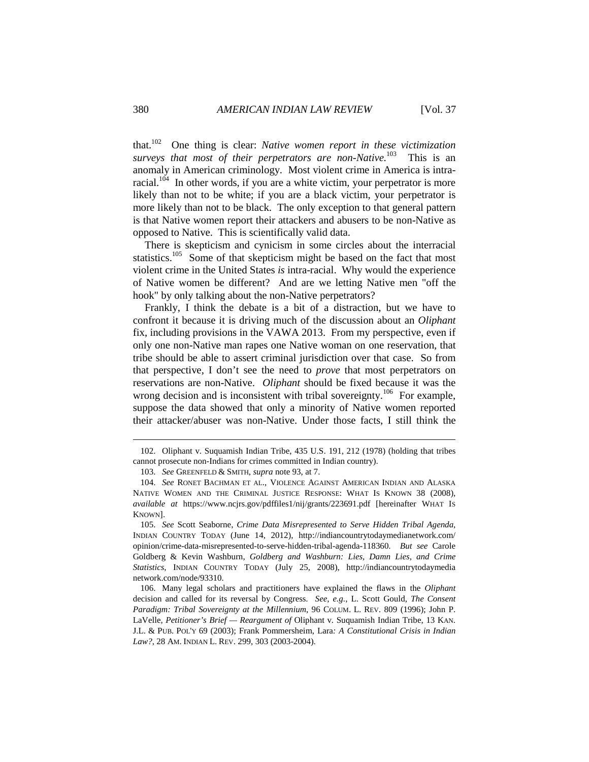that.102 One thing is clear: *Native women report in these victimization surveys that most of their perpetrators are non-Native.*103 This is an anomaly in American criminology. Most violent crime in America is intraracial.<sup>104</sup> In other words, if you are a white victim, your perpetrator is more likely than not to be white; if you are a black victim, your perpetrator is more likely than not to be black. The only exception to that general pattern is that Native women report their attackers and abusers to be non-Native as opposed to Native. This is scientifically valid data.

There is skepticism and cynicism in some circles about the interracial statistics.<sup>105</sup> Some of that skepticism might be based on the fact that most violent crime in the United States *is* intra-racial. Why would the experience of Native women be different? And are we letting Native men "off the hook" by only talking about the non-Native perpetrators?

Frankly, I think the debate is a bit of a distraction, but we have to confront it because it is driving much of the discussion about an *Oliphant* fix, including provisions in the VAWA 2013. From my perspective, even if only one non-Native man rapes one Native woman on one reservation, that tribe should be able to assert criminal jurisdiction over that case. So from that perspective, I don't see the need to *prove* that most perpetrators on reservations are non-Native. *Oliphant* should be fixed because it was the wrong decision and is inconsistent with tribal sovereignty.<sup>106</sup> For example, suppose the data showed that only a minority of Native women reported their attacker/abuser was non-Native. Under those facts, I still think the

 <sup>102.</sup> Oliphant v. Suquamish Indian Tribe, 435 U.S. 191, 212 (1978) (holding that tribes cannot prosecute non-Indians for crimes committed in Indian country).

 <sup>103.</sup> *See* GREENFELD & SMITH, *supra* note 93, at 7.

 <sup>104.</sup> *See* RONET BACHMAN ET AL., VIOLENCE AGAINST AMERICAN INDIAN AND ALASKA NATIVE WOMEN AND THE CRIMINAL JUSTICE RESPONSE: WHAT IS KNOWN 38 (2008), *available at* https://www.ncjrs.gov/pdffiles1/nij/grants/223691.pdf [hereinafter WHAT IS KNOWN].

 <sup>105.</sup> *See* Scott Seaborne, *Crime Data Misrepresented to Serve Hidden Tribal Agenda*, INDIAN COUNTRY TODAY (June 14, 2012), http://indiancountrytodaymedianetwork.com/ opinion/crime-data-misrepresented-to-serve-hidden-tribal-agenda-118360. *But see* Carole Goldberg & Kevin Washburn, *Goldberg and Washburn: Lies, Damn Lies, and Crime Statistics*, INDIAN COUNTRY TODAY (July 25, 2008), http://indiancountrytodaymedia network.com/node/93310.

 <sup>106.</sup> Many legal scholars and practitioners have explained the flaws in the *Oliphant* decision and called for its reversal by Congress. *See, e.g.*, L. Scott Gould, *The Consent Paradigm: Tribal Sovereignty at the Millennium*, 96 COLUM. L. REV. 809 (1996); John P. LaVelle, *Petitioner's Brief — Reargument of* Oliphant v. Suquamish Indian Tribe, 13 KAN. J.L. & PUB. POL'Y 69 (2003); Frank Pommersheim, Lara*: A Constitutional Crisis in Indian Law?*, 28 AM. INDIAN L. REV. 299, 303 (2003-2004).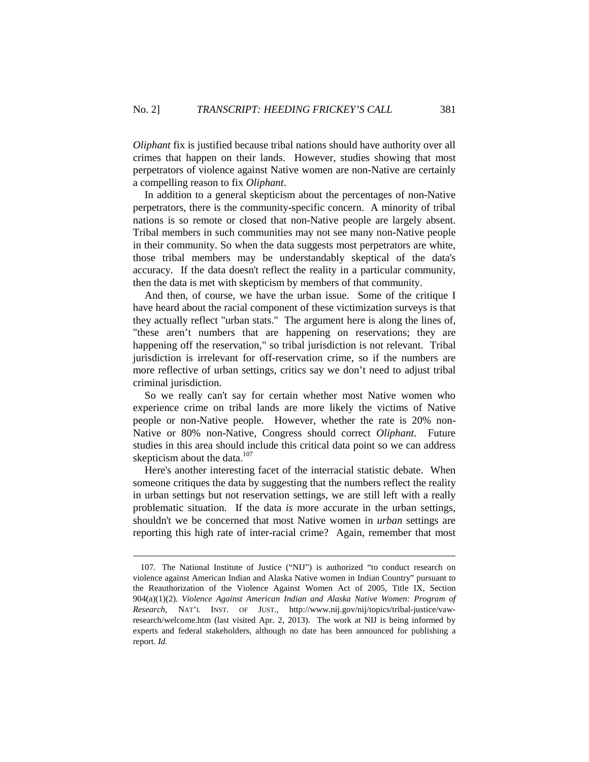*Oliphant* fix is justified because tribal nations should have authority over all crimes that happen on their lands. However, studies showing that most perpetrators of violence against Native women are non-Native are certainly a compelling reason to fix *Oliphant*.

In addition to a general skepticism about the percentages of non-Native perpetrators, there is the community-specific concern. A minority of tribal nations is so remote or closed that non-Native people are largely absent. Tribal members in such communities may not see many non-Native people in their community. So when the data suggests most perpetrators are white, those tribal members may be understandably skeptical of the data's accuracy. If the data doesn't reflect the reality in a particular community, then the data is met with skepticism by members of that community.

And then, of course, we have the urban issue. Some of the critique I have heard about the racial component of these victimization surveys is that they actually reflect "urban stats." The argument here is along the lines of, "these aren't numbers that are happening on reservations; they are happening off the reservation," so tribal jurisdiction is not relevant. Tribal jurisdiction is irrelevant for off-reservation crime, so if the numbers are more reflective of urban settings, critics say we don't need to adjust tribal criminal jurisdiction.

So we really can't say for certain whether most Native women who experience crime on tribal lands are more likely the victims of Native people or non-Native people. However, whether the rate is 20% non-Native or 80% non-Native, Congress should correct *Oliphant*. Future studies in this area should include this critical data point so we can address skepticism about the data. $107$ 

Here's another interesting facet of the interracial statistic debate. When someone critiques the data by suggesting that the numbers reflect the reality in urban settings but not reservation settings, we are still left with a really problematic situation. If the data *is* more accurate in the urban settings, shouldn't we be concerned that most Native women in *urban* settings are reporting this high rate of inter-racial crime? Again, remember that most

 <sup>107.</sup> The National Institute of Justice ("NIJ") is authorized "to conduct research on violence against American Indian and Alaska Native women in Indian Country" pursuant to the Reauthorization of the Violence Against Women Act of 2005, Title IX, Section 904(a)(1)(2). *Violence Against American Indian and Alaska Native Women: Program of Research*, NAT'L INST. OF JUST., http://www.nij.gov/nij/topics/tribal-justice/vawresearch/welcome.htm (last visited Apr. 2, 2013). The work at NIJ is being informed by experts and federal stakeholders, although no date has been announced for publishing a report. *Id.*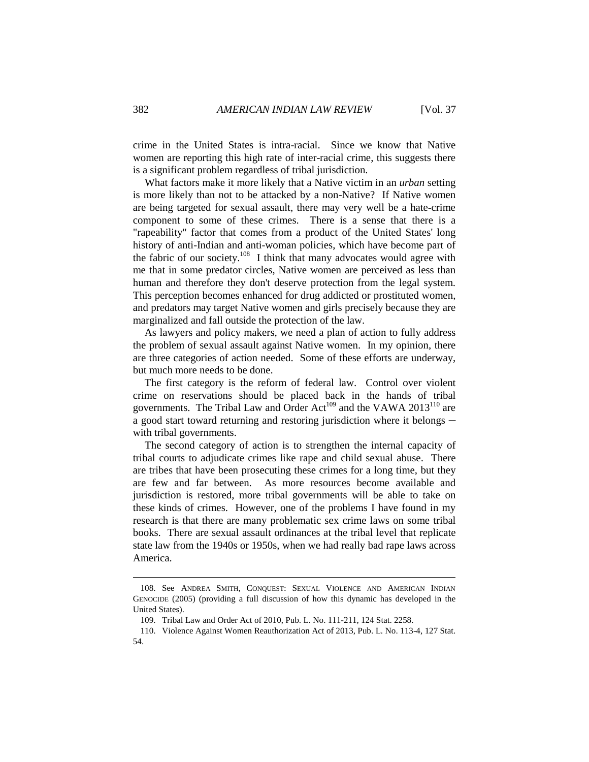crime in the United States is intra-racial. Since we know that Native women are reporting this high rate of inter-racial crime, this suggests there is a significant problem regardless of tribal jurisdiction.

What factors make it more likely that a Native victim in an *urban* setting is more likely than not to be attacked by a non-Native? If Native women are being targeted for sexual assault, there may very well be a hate-crime component to some of these crimes. There is a sense that there is a "rapeability" factor that comes from a product of the United States' long history of anti-Indian and anti-woman policies, which have become part of the fabric of our society.<sup>108</sup> I think that many advocates would agree with me that in some predator circles, Native women are perceived as less than human and therefore they don't deserve protection from the legal system. This perception becomes enhanced for drug addicted or prostituted women, and predators may target Native women and girls precisely because they are marginalized and fall outside the protection of the law.

As lawyers and policy makers, we need a plan of action to fully address the problem of sexual assault against Native women. In my opinion, there are three categories of action needed. Some of these efforts are underway, but much more needs to be done.

The first category is the reform of federal law. Control over violent crime on reservations should be placed back in the hands of tribal governments. The Tribal Law and Order  $Act^{109}$  and the VAWA 2013<sup>110</sup> are a good start toward returning and restoring jurisdiction where it belongs with tribal governments.

The second category of action is to strengthen the internal capacity of tribal courts to adjudicate crimes like rape and child sexual abuse. There are tribes that have been prosecuting these crimes for a long time, but they are few and far between. As more resources become available and jurisdiction is restored, more tribal governments will be able to take on these kinds of crimes. However, one of the problems I have found in my research is that there are many problematic sex crime laws on some tribal books. There are sexual assault ordinances at the tribal level that replicate state law from the 1940s or 1950s, when we had really bad rape laws across America.

 <sup>108.</sup> See ANDREA SMITH, CONQUEST: SEXUAL VIOLENCE AND AMERICAN INDIAN GENOCIDE (2005) (providing a full discussion of how this dynamic has developed in the United States).

 <sup>109.</sup> Tribal Law and Order Act of 2010, Pub. L. No. 111-211, 124 Stat. 2258.

 <sup>110.</sup> Violence Against Women Reauthorization Act of 2013, Pub. L. No. 113-4, 127 Stat. 54.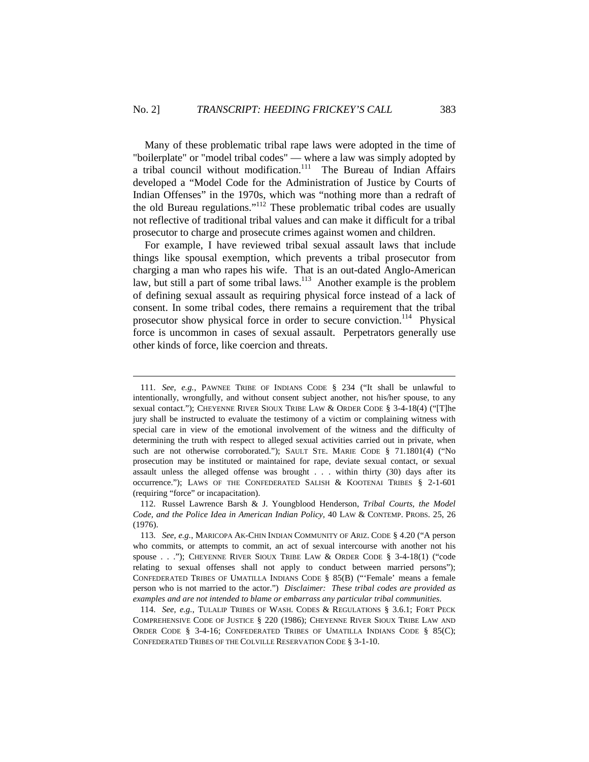Many of these problematic tribal rape laws were adopted in the time of "boilerplate" or "model tribal codes" — where a law was simply adopted by a tribal council without modification.<sup>111</sup> The Bureau of Indian Affairs developed a "Model Code for the Administration of Justice by Courts of Indian Offenses" in the 1970s, which was "nothing more than a redraft of the old Bureau regulations."112 These problematic tribal codes are usually not reflective of traditional tribal values and can make it difficult for a tribal prosecutor to charge and prosecute crimes against women and children.

For example, I have reviewed tribal sexual assault laws that include things like spousal exemption, which prevents a tribal prosecutor from charging a man who rapes his wife. That is an out-dated Anglo-American law, but still a part of some tribal laws.<sup>113</sup> Another example is the problem of defining sexual assault as requiring physical force instead of a lack of consent. In some tribal codes, there remains a requirement that the tribal prosecutor show physical force in order to secure conviction.<sup>114</sup> Physical force is uncommon in cases of sexual assault. Perpetrators generally use other kinds of force, like coercion and threats.

 <sup>111.</sup> *See, e.g.*, PAWNEE TRIBE OF INDIANS CODE § 234 ("It shall be unlawful to intentionally, wrongfully, and without consent subject another, not his/her spouse, to any sexual contact."); CHEYENNE RIVER SIOUX TRIBE LAW & ORDER CODE § 3-4-18(4) ("[T]he jury shall be instructed to evaluate the testimony of a victim or complaining witness with special care in view of the emotional involvement of the witness and the difficulty of determining the truth with respect to alleged sexual activities carried out in private, when such are not otherwise corroborated."); SAULT STE. MARIE CODE § 71.1801(4) ("No prosecution may be instituted or maintained for rape, deviate sexual contact, or sexual assault unless the alleged offense was brought . . . within thirty (30) days after its occurrence."); LAWS OF THE CONFEDERATED SALISH & KOOTENAI TRIBES § 2-1-601 (requiring "force" or incapacitation).

 <sup>112.</sup> Russel Lawrence Barsh & J. Youngblood Henderson, *Tribal Courts, the Model Code, and the Police Idea in American Indian Policy*, 40 LAW & CONTEMP. PROBS. 25, 26 (1976).

 <sup>113.</sup> *See, e.g.*, MARICOPA AK-CHIN INDIAN COMMUNITY OF ARIZ. CODE § 4.20 ("A person who commits, or attempts to commit, an act of sexual intercourse with another not his spouse . . ."); CHEYENNE RIVER SIOUX TRIBE LAW & ORDER CODE § 3-4-18(1) ("code relating to sexual offenses shall not apply to conduct between married persons"); CONFEDERATED TRIBES OF UMATILLA INDIANS CODE § 85(B) ("'Female' means a female person who is not married to the actor.") *Disclaimer: These tribal codes are provided as examples and are not intended to blame or embarrass any particular tribal communities*.

 <sup>114.</sup> *See, e.g.*, TULALIP TRIBES OF WASH. CODES & REGULATIONS § 3.6.1; FORT PECK COMPREHENSIVE CODE OF JUSTICE § 220 (1986); CHEYENNE RIVER SIOUX TRIBE LAW AND ORDER CODE § 3-4-16; CONFEDERATED TRIBES OF UMATILLA INDIANS CODE § 85(C); CONFEDERATED TRIBES OF THE COLVILLE RESERVATION CODE § 3-1-10.